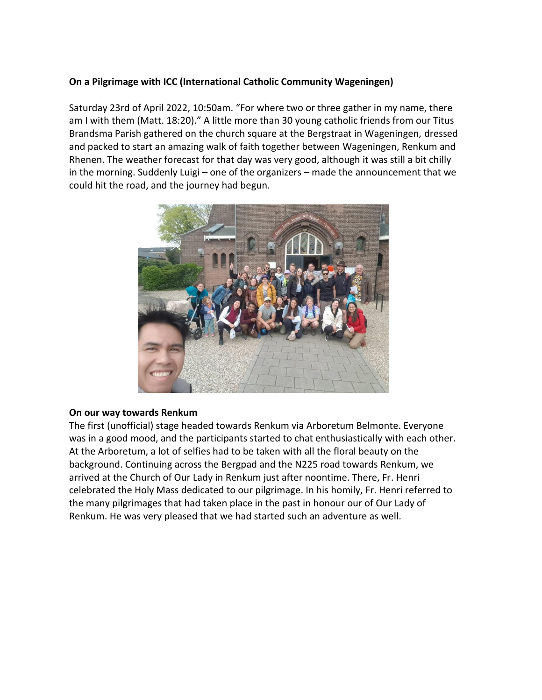# **On a Pilgrimage with ICC (International Catholic Community Wageningen)**

Saturday 23rd of April 2022, 10:50am. "For where two or three gather in my name, there am I with them (Matt. 18:20)." A little more than 30 young catholic friends from our Titus Brandsma Parish gathered on the church square at the Bergstraat in Wageningen, dressed and packed to start an amazing walk of faith together between Wageningen, Renkum and Rhenen. The weather forecast for that day was very good, although it was still a bit chilly in the morning. Suddenly Luigi – one of the organizers – made the announcement that we could hit the road, and the journey had begun.



### **On our way towards Renkum**

The first (unofficial) stage headed towards Renkum via Arboretum Belmonte. Everyone was in a good mood, and the participants started to chat enthusiastically with each other. At the Arboretum, a lot of selfies had to be taken with all the floral beauty on the background. Continuing across the Bergpad and the N225 road towards Renkum, we arrived at the Church of Our Lady in Renkum just after noontime. There, Fr. Henri celebrated the Holy Mass dedicated to our pilgrimage. In his homily, Fr. Henri referred to the many pilgrimages that had taken place in the past in honour our of Our Lady of Renkum. He was very pleased that we had started such an adventure as well.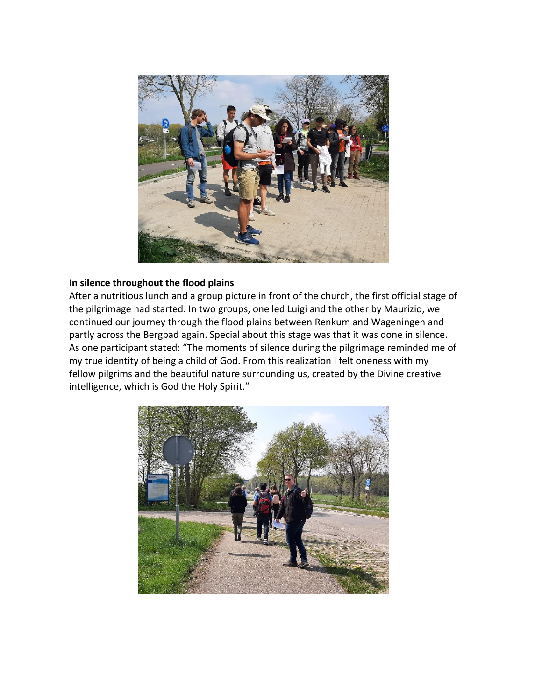

# **In silence throughout the flood plains**

After a nutritious lunch and a group picture in front of the church, the first official stage of the pilgrimage had started. In two groups, one led Luigi and the other by Maurizio, we continued our journey through the flood plains between Renkum and Wageningen and partly across the Bergpad again. Special about this stage was that it was done in silence. As one participant stated: "The moments of silence during the pilgrimage reminded me of my true identity of being a child of God. From this realization I felt oneness with my fellow pilgrims and the beautiful nature surrounding us, created by the Divine creative intelligence, which is God the Holy Spirit."

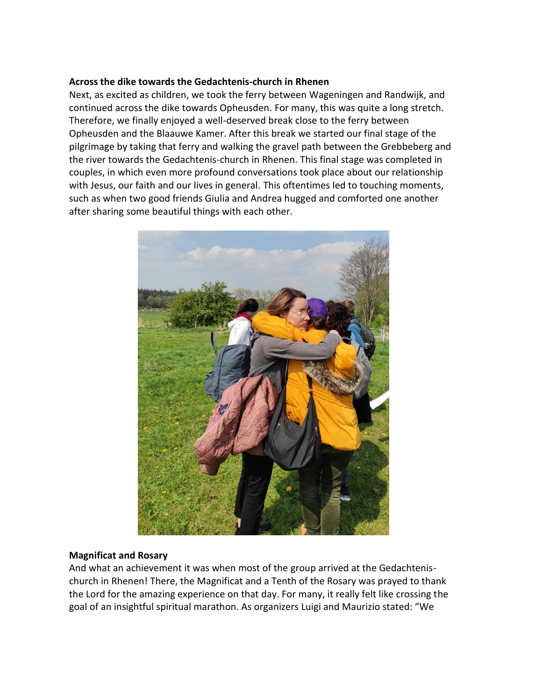### **Across the dike towards the Gedachtenis-church in Rhenen**

Next, as excited as children, we took the ferry between Wageningen and Randwijk, and continued across the dike towards Opheusden. For many, this was quite a long stretch. Therefore, we finally enjoyed a well-deserved break close to the ferry between Opheusden and the Blaauwe Kamer. After this break we started our final stage of the pilgrimage by taking that ferry and walking the gravel path between the Grebbeberg and the river towards the Gedachtenis-church in Rhenen. This final stage was completed in couples, in which even more profound conversations took place about our relationship with Jesus, our faith and our lives in general. This oftentimes led to touching moments, such as when two good friends Giulia and Andrea hugged and comforted one another after sharing some beautiful things with each other.



### **Magnificat and Rosary**

And what an achievement it was when most of the group arrived at the Gedachtenischurch in Rhenen! There, the Magnificat and a Tenth of the Rosary was prayed to thank the Lord for the amazing experience on that day. For many, it really felt like crossing the goal of an insightful spiritual marathon. As organizers Luigi and Maurizio stated: "We